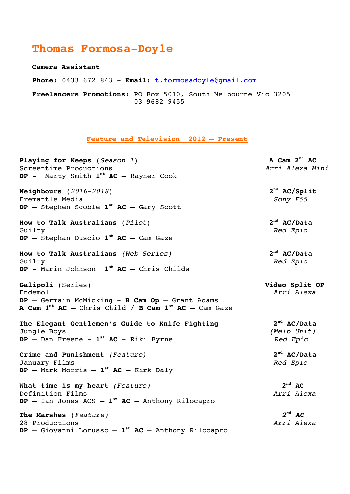## **Thomas Formosa-Doyle**

**Camera Assistant**

**Phone:** 0433 672 843 - **Email:** t.formosadoyle@gmail.com

 **Freelancers Promotions:** PO Box 5010, South Melbourne Vic 3205 03 9682 9455

**Feature and Television 2012 – Present**

Playing for Keeps (*Season 1*) **A Cam 2<sup>nd</sup> AC** Screentime Productions *Arri Alexa Mini* **DP -** Marty Smith **1st AC –** Rayner Cook **Neighbours** (*2016-2018*) **2nd AC/Split** Fremantle Media *Sony F55* **DP –** Stephen Scoble **1st AC** – Gary Scott **How to Talk Australians** (*Pilot*) **2nd AC/Data** Guilty *Red Epic* **DP** – Stephan Duscio **1st AC** – Cam Gaze **How to Talk Australians** *(Web Series)* **2nd AC/Data** Guilty *Red Epic* **DP** - Marin Johnson **1st AC** – Chris Childs **Galipoli** (Series) **Video Split OP** Endemol *Arri Alexa* **DP** – Germain McMicking - **B Cam Op** – Grant Adams **A Cam 1st AC** – Chris Child / **B Cam 1st AC** – Cam Gaze **The Elegant Gentlemen's Guide to Knife Fighting 2nd AC/Data** Jungle Boys *(Melb Unit)* **DP** – Dan Freene - **1st AC** - Riki Byrne *Red Epic* **Crime and Punishment** *(Feature)* **2nd AC/Data** January Films *Red Epic* **DP** – Mark Morris – **1st AC** – Kirk Daly **What time is my heart** *(Feature)* **2nd AC** Definition Films *Arri Alexa* **DP** – Ian Jones ACS – **1st AC** – Anthony Rilocapro **The Marshes** (*Feature) 2nd AC* 28 Productions *Arri Alexa* **DP** – Giovanni Lorusso – **1st AC** – Anthony Rilocapro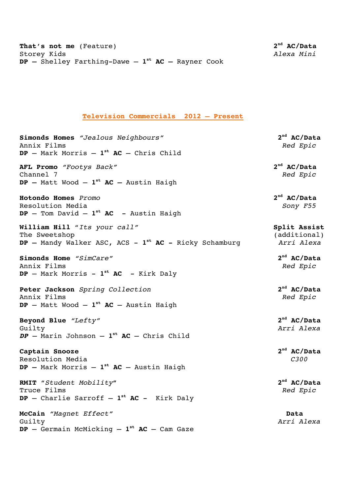## **Television Commercials 2012 – Present**

**Simonds Homes** *"Jealous Neighbours"* **2nd AC/Data** Annix Films *Red Epic* **DP** – Mark Morris – **1st AC** – Chris Child

**AFL Promo** *"Footys Back"* **2nd AC/Data** Channel 7 *Red Epic* **DP –** Matt Wood – **1st AC –** Austin Haigh

**Hotondo Homes** *Promo* **2nd AC/Data** Resolution Media *Sony F55* **DP** – Tom David – **1st AC** - Austin Haigh

**William Hill** "Its your call" **Split Assist** The Sweetshop (additional)<br> **DP** - Mandy Walker ASC, ACS -  $1^{st}$  **AC** - Ricky Schamburg *Arri Alexa* **DP** – Mandy Walker ASC, ACS –  $1^{st}$  **AC** – Ricky Schamburg

**Simonds Home** *"SimCare"* **2nd AC/Data** Annix Films *Red Epic* **DP** – Mark Morris - **1st AC** - Kirk Daly

**Peter Jackson** *Spring Collection* **2nd AC/Data** Annix Films *Red Epic* **DP** – Matt Wood – **1st AC** – Austin Haigh

**Beyond Blue** *"Lefty"* **2nd AC/Data** Guilty *Arri Alexa DP –* Marin Johnson – **1st AC** – Chris Child

**Captain Snooze 2nd AC/Data** Resolution Media *C300* **DP –** Mark Morris – **1st AC** – Austin Haigh

**RMIT** "*Student Mobility***"****2nd AC/Data** Truce Films*Red Epic* **DP** – Charlie Sarroff – **1st AC** - Kirk Daly

**McCain** *"Magnet Effect"* **Data** Guilty *Arri Alexa* **DP** – Germain McMicking – **1st AC** – Cam Gaze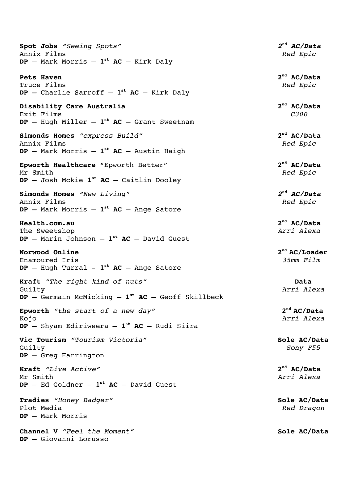**Spot Jobs** *"Seeing Spots" 2nd AC/Data* Annix Films *Red Epic* **DP** – Mark Morris – **1st AC** – Kirk Daly

**Pets Haven 2nd AC/Data** Truce Films *Red Epic* **DP –** Charlie Sarroff – **1st AC** – Kirk Daly

**Disability Care Australia** 2<sup>nd</sup> AC/Data Exit Films *C300* **DP –** Hugh Miller – **1st AC** – Grant Sweetnam

**Simonds Homes** *"express Build"* **2nd AC/Data** Annix Films *Red Epic* **DP** – Mark Morris – **1st AC** – Austin Haigh

**Epworth Healthcare** "Epworth Better" **2nd AC/Data** Mr Smith *Red Epic* **DP** – Josh Mckie **1st AC** – Caitlin Dooley

**Simonds Homes** *"New Living" 2nd AC/Data* Annix Films *Red Epic* **DP –** Mark Morris – **1st AC** – Ange Satore

**Health.com.au 2nd AC/Data** The Sweetshop *Arri Alexa* **DP –** Marin Johnson – **1st AC** – David Guest

**Norwood Online 2nd AC/Loader**

 $DP$  – Hugh Turral –  $1^{st}$  **AC** – Ange Satore

**Kraft** *"The right kind of nuts"* **Data** Guilty *Arri Alexa* **DP** – Germain McMicking – **1st AC** – Geoff Skillbeck

**Epworth** *"the start of a new day"* **2**<sup>nd</sup> **AC/Data** Kojo *Arri Alexa* **DP** – Shyam Ediriweera – **1st AC** – Rudi Siira

**Vic Tourism** *"Tourism Victoria"* **Sole AC/Data** Guilty *Sony F55* **DP** – Greg Harrington

**Kraft** *"Live Active"* **2nd AC/Data** Mr Smith *Arri Alexa*  $DP - Ed$  Goldner -  $1<sup>st</sup> AC - David Guest$ 

**Tradies** *"Honey Badger"* **Sole AC/Data** Plot Media *Red Dragon* **DP** – Mark Morris

**Channel V** *"Feel the Moment"* **1999 1999 Sole AC/Data DP** – Giovanni Lorusso

Enamoured Iris *35mm Film*